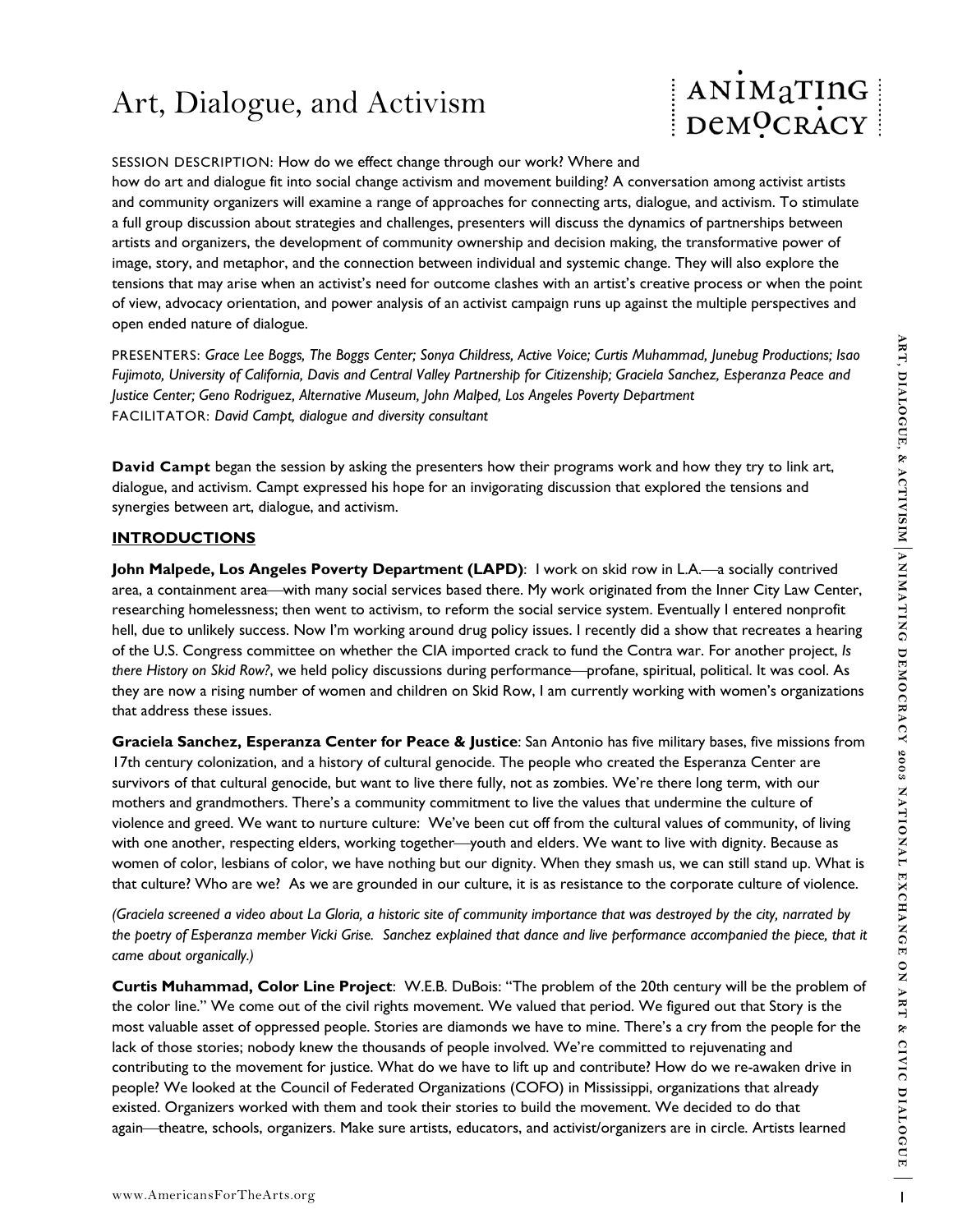# Art, Dialogue, and Activism

## SESSION DESCRIPTION: How do we effect change through our work? Where and

how do art and dialogue fit into social change activism and movement building? A conversation among activist artists and community organizers will examine a range of approaches for connecting arts, dialogue, and activism. To stimulate a full group discussion about strategies and challenges, presenters will discuss the dynamics of partnerships between artists and organizers, the development of community ownership and decision making, the transformative power of image, story, and metaphor, and the connection between individual and systemic change. They will also explore the tensions that may arise when an activist's need for outcome clashes with an artist's creative process or when the point of view, advocacy orientation, and power analysis of an activist campaign runs up against the multiple perspectives and open ended nature of dialogue.

PRESENTERS: *Grace Lee Boggs, The Boggs Center; Sonya Childress, Active Voice; Curtis Muhammad, Junebug Productions; Isao Fujimoto, University of California, Davis and Central Valley Partnership for Citizenship; Graciela Sanchez, Esperanza Peace and Justice Center; Geno Rodriguez, Alternative Museum, John Malped, Los Angeles Poverty Department*  FACILITATOR: *David Campt, dialogue and diversity consultant* 

**David Campt** began the session by asking the presenters how their programs work and how they try to link art, dialogue, and activism. Campt expressed his hope for an invigorating discussion that explored the tensions and synergies between art, dialogue, and activism.

## **INTRODUCTIONS**

**John Malpede, Los Angeles Poverty Department (LAPD):** I work on skid row in L.A.—a socially contrived area, a containment area—with many social services based there. My work originated from the Inner City Law Center, researching homelessness; then went to activism, to reform the social service system. Eventually I entered nonprofit hell, due to unlikely success. Now I'm working around drug policy issues. I recently did a show that recreates a hearing of the U.S. Congress committee on whether the CIA imported crack to fund the Contra war. For another project, *Is there History on Skid Row?*, we held policy discussions during performance—profane, spiritual, political. It was cool. As they are now a rising number of women and children on Skid Row, I am currently working with women's organizations that address these issues.

**PRESENTERS.** Gone Lae Bogg, The Beggs Center Some Universe Arts Consume Works Current Multimester and Consumer Present and Consumer Consumer Consumer Consumer Consumer Consumer Consumer Consumer Consumer Consumer Consumer **Graciela Sanchez, Esperanza Center for Peace & Justice**: San Antonio has five military bases, five missions from 17th century colonization, and a history of cultural genocide. The people who created the Esperanza Center are survivors of that cultural genocide, but want to live there fully, not as zombies. We're there long term, with our mothers and grandmothers. There's a community commitment to live the values that undermine the culture of violence and greed. We want to nurture culture: We've been cut off from the cultural values of community, of living with one another, respecting elders, working together—youth and elders. We want to live with dignity. Because as women of color, lesbians of color, we have nothing but our dignity. When they smash us, we can still stand up. What is that culture? Who are we? As we are grounded in our culture, it is as resistance to the corporate culture of violence.

*(Graciela screened a video about La Gloria, a historic site of community importance that was destroyed by the city, narrated by the poetry of Esperanza member Vicki Grise. Sanchez explained that dance and live performance accompanied the piece, that it came about organically.)* 

**Curtis Muhammad, Color Line Project**: W.E.B. DuBois: "The problem of the 20th century will be the problem of the color line." We come out of the civil rights movement. We valued that period. We figured out that Story is the most valuable asset of oppressed people. Stories are diamonds we have to mine. There's a cry from the people for the lack of those stories; nobody knew the thousands of people involved. We're committed to rejuvenating and contributing to the movement for justice. What do we have to lift up and contribute? How do we re-awaken drive in people? We looked at the Council of Federated Organizations (COFO) in Mississippi, organizations that already existed. Organizers worked with them and took their stories to build the movement. We decided to do that again—theatre, schools, organizers. Make sure artists, educators, and activist/organizers are in circle. Artists learned

ANIMATING

DeMOCRACY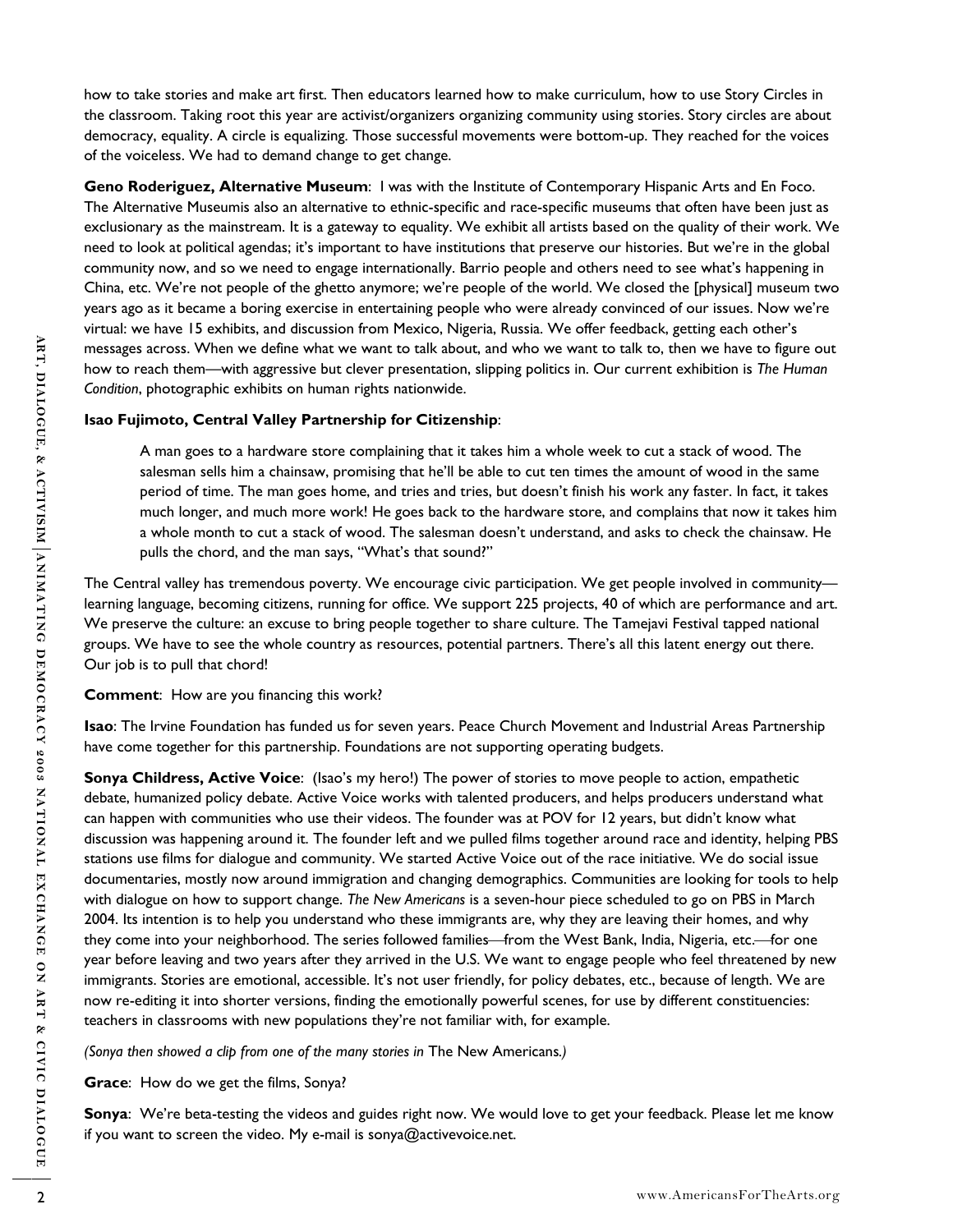how to take stories and make art first. Then educators learned how to make curriculum, how to use Story Circles in the classroom. Taking root this year are activist/organizers organizing community using stories. Story circles are about democracy, equality. A circle is equalizing. Those successful movements were bottom-up. They reached for the voices of the voiceless. We had to demand change to get change.

**Geno Roderiguez, Alternative Museum**: I was with the Institute of Contemporary Hispanic Arts and En Foco. The Alternative Museumis also an alternative to ethnic-specific and race-specific museums that often have been just as exclusionary as the mainstream. It is a gateway to equality. We exhibit all artists based on the quality of their work. We need to look at political agendas; it's important to have institutions that preserve our histories. But we're in the global community now, and so we need to engage internationally. Barrio people and others need to see what's happening in China, etc. We're not people of the ghetto anymore; we're people of the world. We closed the [physical] museum two years ago as it became a boring exercise in entertaining people who were already convinced of our issues. Now we're virtual: we have 15 exhibits, and discussion from Mexico, Nigeria, Russia. We offer feedback, getting each other's messages across. When we define what we want to talk about, and who we want to talk to, then we have to figure out how to reach them—with aggressive but clever presentation, slipping politics in. Our current exhibition is *The Human Condition*, photographic exhibits on human rights nationwide.

## **Isao Fujimoto, Central Valley Partnership for Citizenship**:

A man goes to a hardware store complaining that it takes him a whole week to cut a stack of wood. The salesman sells him a chainsaw, promising that he'll be able to cut ten times the amount of wood in the same period of time. The man goes home, and tries and tries, but doesn't finish his work any faster. In fact, it takes much longer, and much more work! He goes back to the hardware store, and complains that now it takes him a whole month to cut a stack of wood. The salesman doesn't understand, and asks to check the chainsaw. He pulls the chord, and the man says, "What's that sound?"

The Central valley has tremendous poverty. We encourage civic participation. We get people involved in community learning language, becoming citizens, running for office. We support 225 projects, 40 of which are performance and art. We preserve the culture: an excuse to bring people together to share culture. The Tamejavi Festival tapped national groups. We have to see the whole country as resources, potential partners. There's all this latent energy out there. Our job is to pull that chord!

### **Comment**: How are you financing this work?

**Isao**: The Irvine Foundation has funded us for seven years. Peace Church Movement and Industrial Areas Partnership have come together for this partnership. Foundations are not supporting operating budgets.

**Example account with the define what we want to talk about and who we want to talk the velocies of Condition, phong points in. Our currence exhibition is The Arts or Condition, phong points can be have a consider the sta Sonya Childress, Active Voice**: (Isao's my hero!) The power of stories to move people to action, empathetic debate, humanized policy debate. Active Voice works with talented producers, and helps producers understand what can happen with communities who use their videos. The founder was at POV for 12 years, but didn't know what discussion was happening around it. The founder left and we pulled films together around race and identity, helping PBS stations use films for dialogue and community. We started Active Voice out of the race initiative. We do social issue documentaries, mostly now around immigration and changing demographics. Communities are looking for tools to help with dialogue on how to support change. *The New Americans* is a seven-hour piece scheduled to go on PBS in March 2004. Its intention is to help you understand who these immigrants are, why they are leaving their homes, and why they come into your neighborhood. The series followed families—from the West Bank, India, Nigeria, etc.—for one year before leaving and two years after they arrived in the U.S. We want to engage people who feel threatened by new immigrants. Stories are emotional, accessible. It's not user friendly, for policy debates, etc., because of length. We are now re-editing it into shorter versions, finding the emotionally powerful scenes, for use by different constituencies: teachers in classrooms with new populations they're not familiar with, for example.

*(Sonya then showed a clip from one of the many stories in* The New Americans*.)* 

**Grace**: How do we get the films, Sonya?

**Sonya**: We're beta-testing the videos and guides right now. We would love to get your feedback. Please let me know if you want to screen the video. My e-mail is sonya@activevoice.net.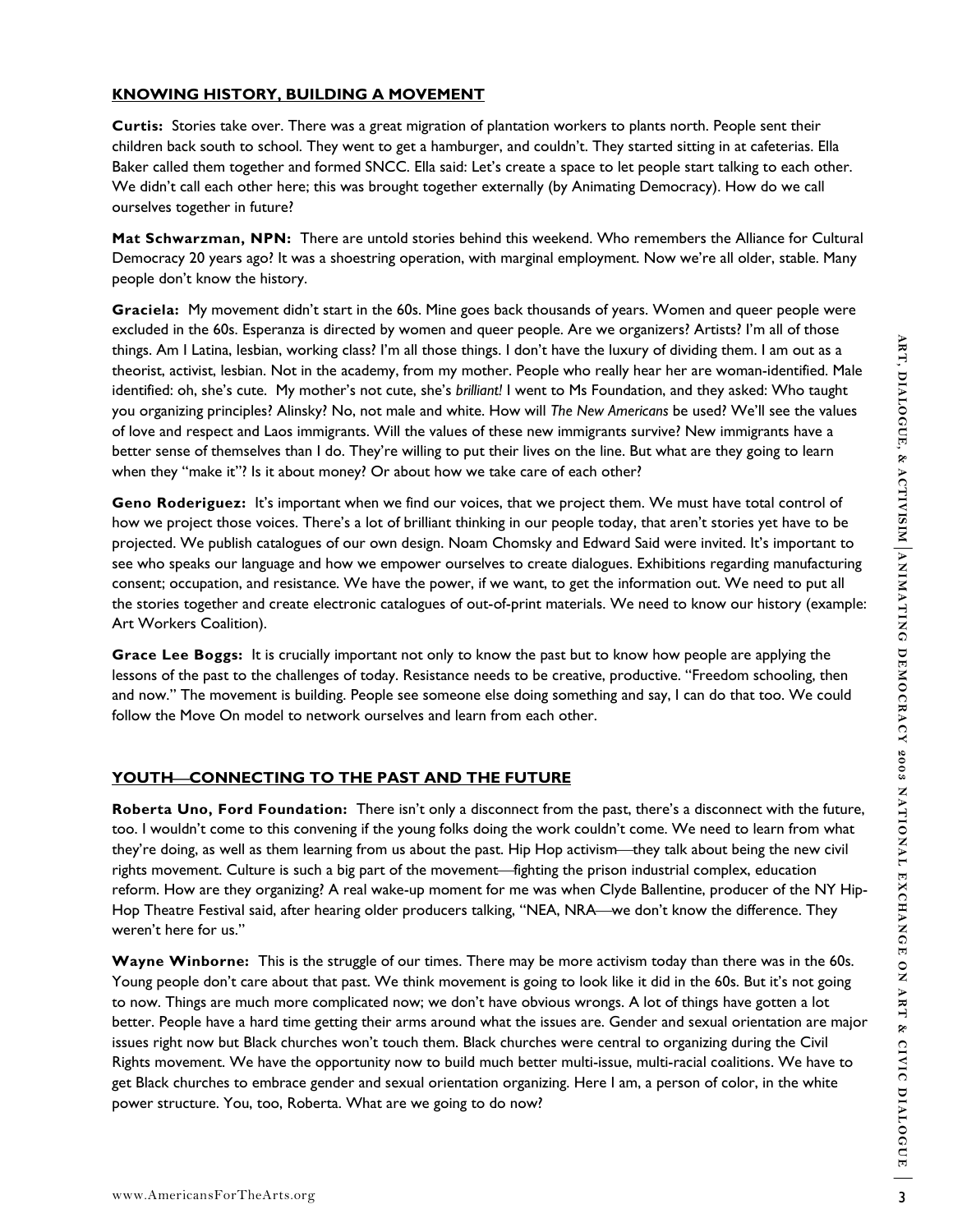## **KNOWING HISTORY, BUILDING A MOVEMENT**

**Curtis:** Stories take over. There was a great migration of plantation workers to plants north. People sent their children back south to school. They went to get a hamburger, and couldn't. They started sitting in at cafeterias. Ella Baker called them together and formed SNCC. Ella said: Let's create a space to let people start talking to each other. We didn't call each other here; this was brought together externally (by Animating Democracy). How do we call ourselves together in future?

**Mat Schwarzman, NPN:** There are untold stories behind this weekend. Who remembers the Alliance for Cultural Democracy 20 years ago? It was a shoestring operation, with marginal employment. Now we're all older, stable. Many people don't know the history.

**Graciela:** My movement didn't start in the 60s. Mine goes back thousands of years. Women and queer people were excluded in the 60s. Esperanza is directed by women and queer people. Are we organizers? Artists? I'm all of those things. Am I Latina, lesbian, working class? I'm all those things. I don't have the luxury of dividing them. I am out as a theorist, activist, lesbian. Not in the academy, from my mother. People who really hear her are woman-identified. Male identified: oh, she's cute. My mother's not cute, she's *brilliant!* I went to Ms Foundation, and they asked: Who taught you organizing principles? Alinsky? No, not male and white. How will *The New Americans* be used? We'll see the values of love and respect and Laos immigrants. Will the values of these new immigrants survive? New immigrants have a better sense of themselves than I do. They're willing to put their lives on the line. But what are they going to learn when they "make it"? Is it about money? Or about how we take care of each other?

**Geno Roderiguez:** It's important when we find our voices, that we project them. We must have total control of how we project those voices. There's a lot of brilliant thinking in our people today, that aren't stories yet have to be projected. We publish catalogues of our own design. Noam Chomsky and Edward Said were invited. It's important to see who speaks our language and how we empower ourselves to create dialogues. Exhibitions regarding manufacturing consent; occupation, and resistance. We have the power, if we want, to get the information out. We need to put all the stories together and create electronic catalogues of out-of-print materials. We need to know our history (example: Art Workers Coalition).

**Grace Lee Boggs:** It is crucially important not only to know the past but to know how people are applying the lessons of the past to the challenges of today. Resistance needs to be creative, productive. "Freedom schooling, then and now." The movement is building. People see someone else doing something and say, I can do that too. We could follow the Move On model to network ourselves and learn from each other.

## YOUTH-CONNECTING TO THE PAST AND THE FUTURE

**Roberta Uno, Ford Foundation:** There isn't only a disconnect from the past, there's a disconnect with the future, too. I wouldn't come to this convening if the young folks doing the work couldn't come. We need to learn from what they're doing, as well as them learning from us about the past. Hip Hop activism—they talk about being the new civil rights movement. Culture is such a big part of the movement—fighting the prison industrial complex, education reform. How are they organizing? A real wake-up moment for me was when Clyde Ballentine, producer of the NY Hip-Hop Theatre Festival said, after hearing older producers talking, "NEA, NRA—we don't know the difference. They weren't here for us."

dings. Am Lianna, working classic final those dings, it continue the law of of didning them. Is no out as a present that the contents of the form in out as a present that of the statement of the statement of the statement **Wayne Winborne:** This is the struggle of our times. There may be more activism today than there was in the 60s. Young people don't care about that past. We think movement is going to look like it did in the 60s. But it's not going to now. Things are much more complicated now; we don't have obvious wrongs. A lot of things have gotten a lot better. People have a hard time getting their arms around what the issues are. Gender and sexual orientation are major issues right now but Black churches won't touch them. Black churches were central to organizing during the Civil Rights movement. We have the opportunity now to build much better multi-issue, multi-racial coalitions. We have to get Black churches to embrace gender and sexual orientation organizing. Here I am, a person of color, in the white power structure. You, too, Roberta. What are we going to do now?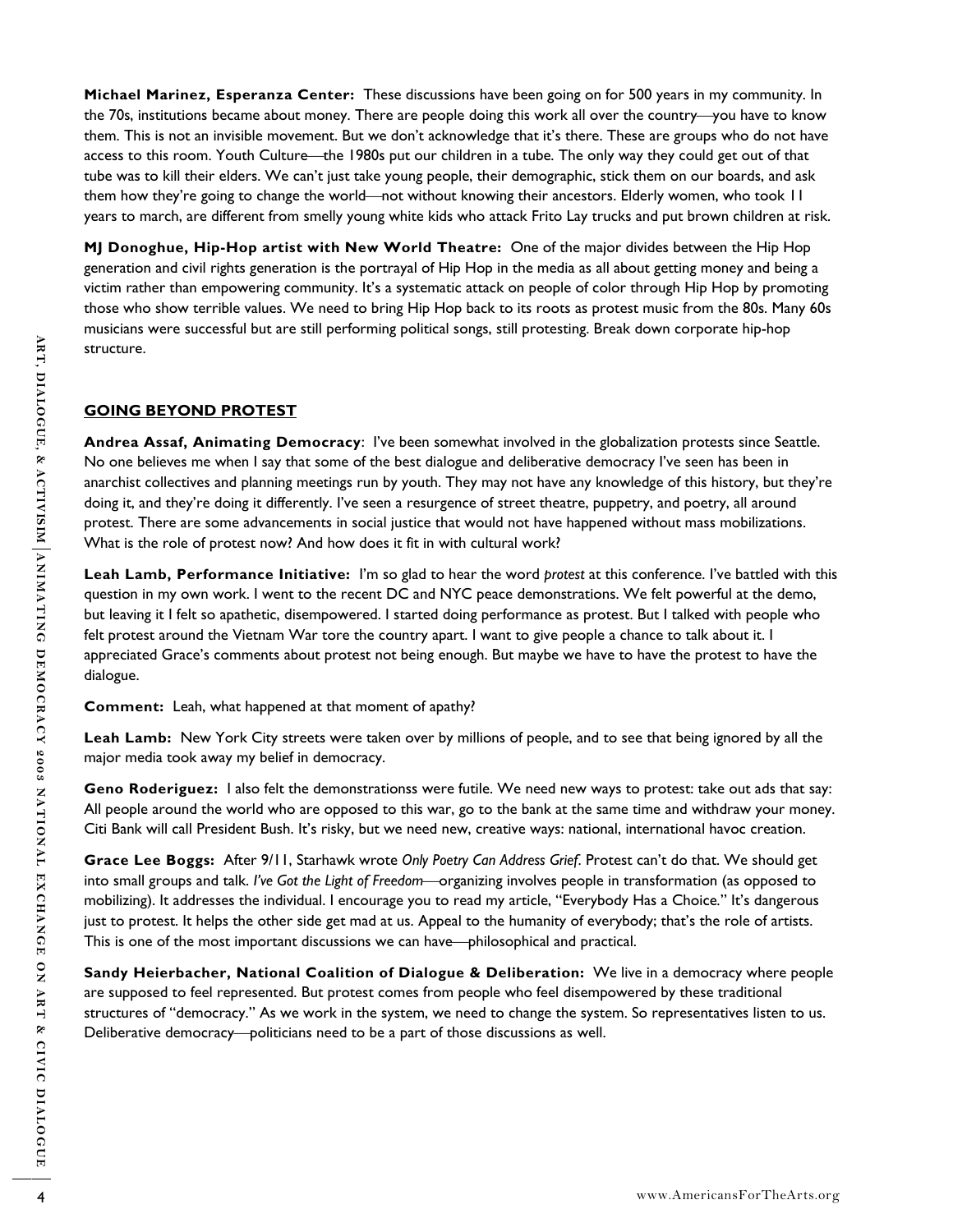**Michael Marinez, Esperanza Center:** These discussions have been going on for 500 years in my community. In the 70s, institutions became about money. There are people doing this work all over the country—you have to know them. This is not an invisible movement. But we don't acknowledge that it's there. These are groups who do not have access to this room. Youth Culture—the 1980s put our children in a tube. The only way they could get out of that tube was to kill their elders. We can't just take young people, their demographic, stick them on our boards, and ask them how they're going to change the world—not without knowing their ancestors. Elderly women, who took 11 years to march, are different from smelly young white kids who attack Frito Lay trucks and put brown children at risk.

**MJ Donoghue, Hip-Hop artist with New World Theatre:** One of the major divides between the Hip Hop generation and civil rights generation is the portrayal of Hip Hop in the media as all about getting money and being a victim rather than empowering community. It's a systematic attack on people of color through Hip Hop by promoting those who show terrible values. We need to bring Hip Hop back to its roots as protest music from the 80s. Many 60s musicians were successful but are still performing political songs, still protesting. Break down corporate hip-hop structure.

## **GOING BEYOND PROTEST**

**Andrea Assaf, Animating Democracy**: I've been somewhat involved in the globalization protests since Seattle. No one believes me when I say that some of the best dialogue and deliberative democracy I've seen has been in anarchist collectives and planning meetings run by youth. They may not have any knowledge of this history, but they're doing it, and they're doing it differently. I've seen a resurgence of street theatre, puppetry, and poetry, all around protest. There are some advancements in social justice that would not have happened without mass mobilizations. What is the role of protest now? And how does it fit in with cultural work?

4 wurdure.<br>
4 **Andre a Assat, Andressi premoting Democracy:** Twistens somewhat involved in the globalization protests since Sostumes<br>
And one believes me when la stylutation of the best dialogue and deliberative democracy **Leah Lamb, Performance Initiative:** I'm so glad to hear the word *protest* at this conference. I've battled with this question in my own work. I went to the recent DC and NYC peace demonstrations. We felt powerful at the demo, but leaving it I felt so apathetic, disempowered. I started doing performance as protest. But I talked with people who felt protest around the Vietnam War tore the country apart. I want to give people a chance to talk about it. I appreciated Grace's comments about protest not being enough. But maybe we have to have the protest to have the dialogue.

**Comment:** Leah, what happened at that moment of apathy?

**Leah Lamb:** New York City streets were taken over by millions of people, and to see that being ignored by all the major media took away my belief in democracy.

**Geno Roderiguez:** I also felt the demonstrationss were futile. We need new ways to protest: take out ads that say: All people around the world who are opposed to this war, go to the bank at the same time and withdraw your money. Citi Bank will call President Bush. It's risky, but we need new, creative ways: national, international havoc creation.

**Grace Lee Boggs:** After 9/11, Starhawk wrote *Only Poetry Can Address Grief*. Protest can't do that. We should get into small groups and talk. *I've Got the Light of Freedom*—organizing involves people in transformation (as opposed to mobilizing). It addresses the individual. I encourage you to read my article, "Everybody Has a Choice*.*" It's dangerous just to protest. It helps the other side get mad at us. Appeal to the humanity of everybody; that's the role of artists. This is one of the most important discussions we can have—philosophical and practical.

**Sandy Heierbacher, National Coalition of Dialogue & Deliberation:** We live in a democracy where people are supposed to feel represented. But protest comes from people who feel disempowered by these traditional structures of "democracy." As we work in the system, we need to change the system. So representatives listen to us. Deliberative democracy—politicians need to be a part of those discussions as well.